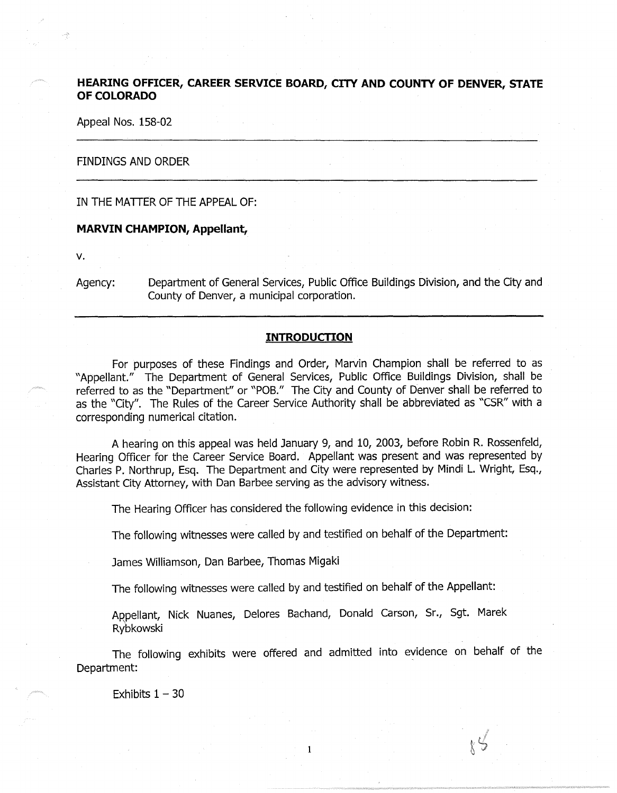# **HEARING OFFICER, CAREER SERVICE BOARD, CITY AND COUNTY OF DENVER, STATE OF COLORADO**

Appeal Nos. 158-02

## FINDINGS AND ORDER

IN THE MATTER OF THE APPEAL OF:

# **MARVIN CHAMPION, Appellant,**

v.

 $\omega^{\frac{1}{2}}$ 

Agency: Department of General Services, Public Office Buildings Division, and the City and County of Denver, a municipal corporation.

# **INTRODUCTION**

For purposes of these Findings and Order, Marvin Champion shall be referred to as "Appellant." The Department of General Services, Public Office Buildings Division, shall be referred to as the "Department" or "POB." The City and County of Denver shall be referred to as the "City". The Rules of the Career Service Authority shall be abbreviated as "CSR" with a corresponding numerical citation.

A hearing on this appeal was held January 9, and 10, 2003, before Robin R. Rossenfeld, Hearing Officer for the Career Service Board. Appellant was present and was represented by Charles P. Northrup, Esq. The Department and City were represented by Mindi L. Wright, Esq., Assistant City Attorney, with Dan Barbee serving as the advisory witness.

The Hearing Officer has considered the following evidence in this decision:

The following witnesses were called by and testified on behalf of the Department:

James Williamson, Dan Barbee, Thomas Migaki

The following witnesses were called by and testified on behalf of the Appellant:

Appellant, Nick Nuanes, Delores Bachand, Donald Carson, Sr., Sgt. Marek Rybkowski

The following exhibits were offered and admitted into evidence on behalf of the Department:

1

 $85$ 

Exhibits  $1 - 30$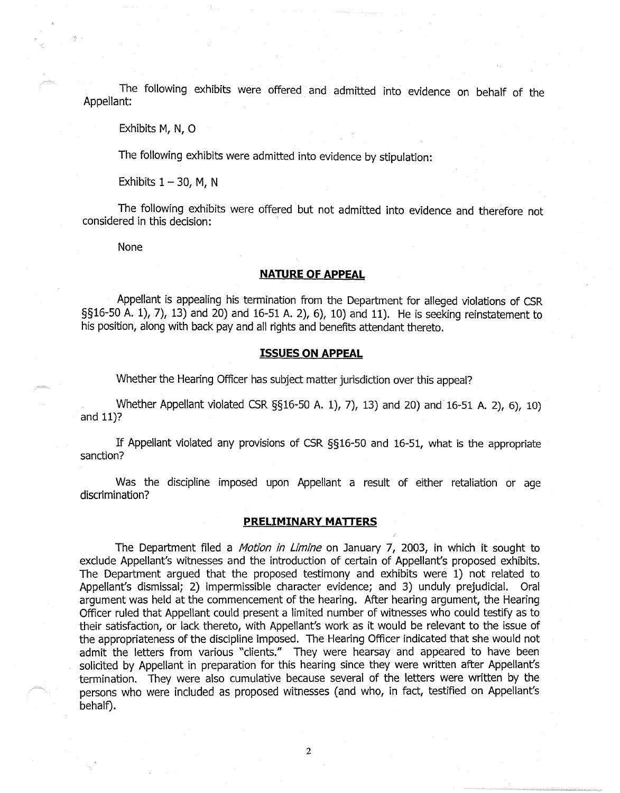The following exhibits were offered and admitted into evidence on behalf of the Appellant: .

Exhibits M, N, 0

The following exhibits were admitted into evidence by stipulation:

Exhibits  $1 - 30$ , M, N

The following exhibits were offered but not admitted into evidence and therefore not considered in this decision:

None

#### **NATURE OF APPEAL**

Appellant is appealing his termination from the Department for alleged violations of CSR §§16-50 A. 1), 7), 13) and 20) and 16-51 A. 2), 6), 10) and 11). He is seeking reinstatement to his position, along with back pay and all rights and benefits attendant thereto.

#### **ISSUES ON APPEAL**

Whether the Hearing Officer has subject matter jurisdiction over this appeal?

Whether Appellant violated CSR §§16-50 A. 1), 7), 13) and 20) and 16-51 A. 2), 6), 10) and 11)?

If Appellant violated any provisions of CSR §§16-50 and 16-51, what is the appropriate sanction?

Was the discipline imposed upon Appellant a result of either retaliation or age discrimination?

#### **PRELIMINARY MATTERS**

The Department filed a *Motion in Limine* on January 7, 2003, in which it sought to exclude Appellant's witnesses and the introduction of certain of Appellant's proposed exhibits. The Department argued that the proposed testimony and exhibits were 1) not related to Appellant's dismissal; 2) impermissible character evidence; and 3) unduly prejudicial. Oral argument was held at the commencement of the hearing. After hearing argument, the Hearing Officer ruled that Appellant could present a limited number of witnesses who could testify as to their satisfaction, or lack thereto, with Appellant's work as it would be relevant to the issue of the appropriateness of the discipline imposed. The Hearing Officer indicated that she would not admit the letters from various "clients." They were hearsay and appeared to have been solicited by Appellant in preparation for this hearing since they were written after Appellant's termination. They were also cumulative because several of the letters were written by the persons who were included as proposed witnesses (and who, in fact, testified on Appellant's behalf).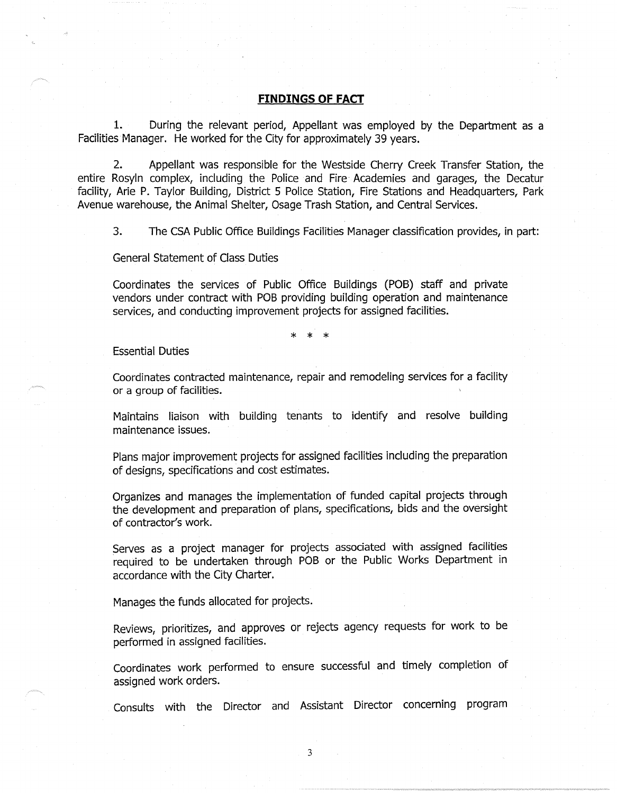## **FINDINGS OF FACT**

1. During the relevant period, Appellant was employed by the Department as a Facilities Manager. He worked for the City for approximately 39 years.

2. Appellant was responsible for the Westside Cherry Creek Transfer Station, the entire Rosyln complex, including the Police and Fire Academies and garages, the Decatur facility, Arie P. Taylor Building, District 5 Police Station, Fire Stations and Headquarters, Park Avenue warehouse, the Animal Shelter, Osage Trash Station, and Central Services.

3. The CSA Public Office Buildings Facilities Manager classification provides, in part:

General Statement of Class Duties

Coordinates the services of Public Office Buildings (POB) staff and private vendors under contract with POB providing building operation and maintenance services, and conducting improvement projects for assigned facilities.

\* \* \*

Essential Duties

Coordinates contracted maintenance, repair and remodeling services for a facility or a group of facilities.

Maintains liaison with building tenants to identify and resolve building maintenance issues.

Plans major improvement projects for assigned facilities including the preparation of designs, specifications and cost estimates.

Organizes and manages the implementation of funded capital projects through the development and preparation of plans, specifications, bids and the oversight of contractor's work.

Serves as a project manager for projects associated with assigned facilities required to be undertaken through POB or the Public Works Department in accordance with the City Charter.

Manages the funds allocated for projects.

Reviews, prioritizes, and approves or rejects agency requests for work to be performed in assigned facilities.

Coordinates work performed to ensure successful and timely completion of assigned work orders.

Consults with the Director and Assistant Director concerning program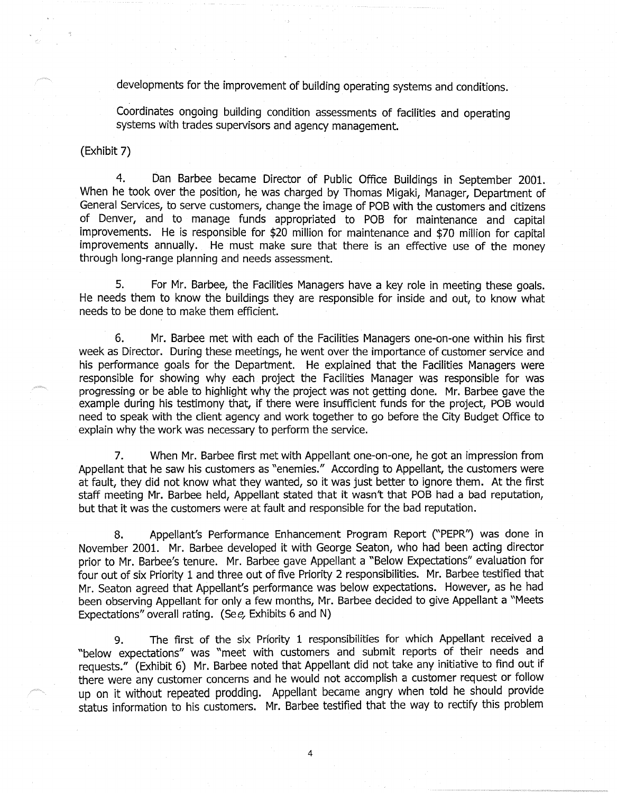developments for the improvement of building operating systems and conditions.

Coordinates ongoing building condition assessments of facilities and operating systems with trades supervisors and agency management.

(Exhibit 7)

4. Dan Barbee became Director of Public Office Buildings in September 2001. When he took over the position, he was charged by Thomas Migaki, Manager, Department of General Services, to serve customers, change the image of POB with the customers and citizens of Denver, and to manage funds appropriated to POB for maintenance and capital improvements. He is responsible for \$20 million for maintenance and \$70 million for capital improvements annually. He must make sure that there is an effective use of the money through long-range planning and needs assessment.

5. For Mr. Barbee, the Facilities Managers have a key role in meeting these goals. He needs them to know the buildings they are responsible for inside and out, to know what needs to be done to make them efficient.

6. Mr. Barbee met with each of the Facilities Managers one-on-one within his first week as Director. During these meetings, he went over the importance of customer service and his performance goals for the Department. He explained that the Facilities Managers were responsible for showing why each project the Facilities Manager was responsible for was progressing or be able to highlight why the project was not getting done. Mr. Barbee gave the example during his testimony that, if there were insufficient funds for the project, POB would need to speak with the client agency and work together to go before the City Budget Office to explain why the work was necessary to perform the service.

7. When Mr. Barbee first met with Appellant one-on-one, he got an impression from Appellant that he saw his customers as "enemies." According to Appellant, the customers were at fault, they did not know what they wanted, so it was just better to ignore them. At the first staff meeting Mr. Barbee held, Appellant stated that it wasn't that POB had a bad reputation, but that it was the customers were at fault and responsible for the bad reputation.

8. Appellant's Performance Enhancement Program Report ("PEPR") was done in November 2001. Mr. Barbee developed it with George Seaton, who had been acting director prior to Mr. Barbee's tenure. Mr. Barbee gave Appellant a "Below Expectations" evaluation for four out of six Priority 1 and three out of five Priority 2 responsibilities. Mr. Barbee testified that Mr. Seaton agreed that Appellant's performance was below expectations. However, as he had been observing Appellant for only a few months, Mr. Barbee decided to give Appellant a "Meets Expectations" overall rating. (See, Exhibits 6 and N)

9. The first of the six Prfority 1 responsibilities for which Appellant received a "below expectations" was "meet with customers and submit reports of their needs and requests." (Exhibit 6) Mr. Barbee noted that Appellant did not take any initiative to find out if there were any customer concerns and he would not accomplish a customer request or follow up on it without repeated prodding. Appellant became angry when told he should provide status information to his customers. Mr. Barbee testified that the way to rectify this problem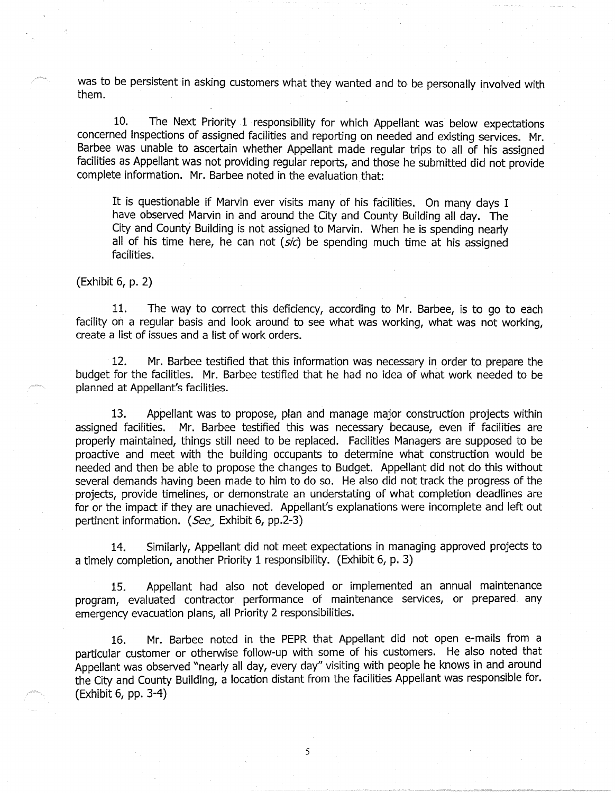was to be persistent in asking customers what they wanted and to be personally involved with them.

10. The Next Priority 1 responsibility for which Appellant was below expectations concerned inspections of assigned facilities and reporting on needed and existing services. Mr. Barbee was unable to ascertain whether Appellant made regular trips to all of his assigned facilities as Appellant was not providing regular reports, and those he submitted did not provide complete information. Mr. Barbee noted in the evaluation that:

It is questionable if Marvin ever visits many of his facilities. On many days I have observed Marvin in and around the City and County Building all day. The City and County Building is not assigned to Marvin. When he is spending nearly all of his time here, he can not  $(s/c)$  be spending much time at his assigned facilities.

(Exhibit 6, p. 2)

11. The way to correct this deficiency, according to Mr. Barbee, is to go to each facility on a regular basis and look around to see what was working, what was not working, create a list of issues and a list of work orders.

12. Mr. Barbee testified that this information was necessary in order to prepare the budget for the facilities. Mr. Barbee testified that he had no idea of what work needed to be planned at Appellant's facilities.

13. Appellant was to propose, plan and manage major construction projects within assigned facilities. Mr. Barbee testified this was necessary because, even if facilities are properly maintained, things still need to be replaced. Facilities Managers are supposed to be proactive and meet with the building occupants to determine what construction would be needed and then be able to propose the changes to Budget. Appellant did not do this without several demands having been made to him to do so. He also did not track the progress of the projects, provide timelines, or demonstrate an understating of what completion deadlines are for or the impact if they are unachieved. Appellant's explanations were incomplete and left out pertinent information. (See, Exhibit 6, pp.2-3)

14. Similarly, Appellant did not meet expectations in managing approved projects to a timely completion, another Priority 1 responsibility. (Exhibit 6, p. 3)

15. Appellant had also not developed or implemented an annual maintenance program, evaluated contractor performance of maintenance services, or prepared any emergency evacuation plans, all Priority 2 responsibilities.

16. Mr. Barbee noted in the PEPR that Appellant did not open e-mails from a particular customer or otherwise follow-up with some of his customers. He also noted that Appellant was observed "nearly all day, every day" visiting with people he knows in and around the City and County Building, a location distant from the facilities Appellant was responsible for. (Exhibit 6, pp. 3-4)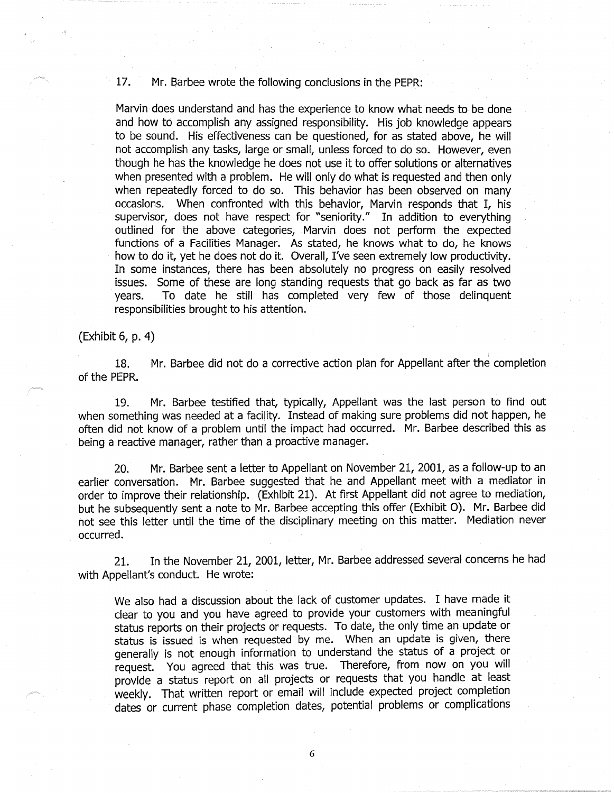# 17. Mr. Barbee wrote the following conclusions in the PEPR:

Marvin does understand and has the experience to know what needs to be done and how to accomplish any assigned responsibility. His job knowledge appears to be sound. His effectiveness can be questioned, for as stated above, he will not accomplish any tasks, large or small, unless forced to do so. However, even though he has the knowledge he does not use it to offer solutions or alternatives when presented with a problem. He will only do what is requested and then only when repeatedly forced to do so. This behavior has been observed on many occasions. When confronted with this behavior, Marvin responds that I, his supervisor, does not have respect for "seniority." In addition to everything outlined for the above categories, Marvin does not perform the expected functions of a Facilities Manager. As stated, he knows what to do, he knows how to do it, yet he does not do it. Overall, I've seen extremely low productivity. In some instances, there has been absolutely no progress on easily resolved issues. Some of these are long standing requests that go back as far as two years. To date he still has completed very few of those delinquent responsibilities brought to his attention.

(Exhibit 6, p. 4)

18. Mr. Barbee did not do a corrective action plan for Appellant after the completion of the PEPR.

19. Mr. Barbee testified that, typically, Appellant was the last person to find out when something was needed at a facility. Instead of making sure problems did not happen, he often did not know of a problem until the impact had occurred. Mr. Barbee described this as being a reactive manager, rather than a proactive manager.

20. Mr. Barbee sent a letter to Appellant on November 21, 2001, as a follow-up to an earlier conversation. Mr. Barbee suggested that he and Appellant meet with a mediator in order to improve their relationship. (Exhibit 21). At first Appellant did not agree to mediation, but he subsequently sent a note to Mr. Barbee accepting this offer (Exhibit 0). Mr. Barbee did not see this letter until the time of the disciplinary meeting on this matter. Mediation never occurred.

21. In the November 21, 2001, letter, Mr. Barbee addressed several concerns he had with Appellant's conduct. He wrote:

We also had a discussion about the lack of customer updates. I have made it clear to you and you have agreed to provide your customers with meaningful status reports on their projects or requests. To date, the only time an update or status is issued is when requested by me. When an update is given, there generally is not enough information to understand the status of a project or request. You agreed that this was true. Therefore, from now on you will provide a status report on all projects or requests that you handle at least weekly. That written report or email will include expected project completion dates or current phase completion dates, potential problems or complications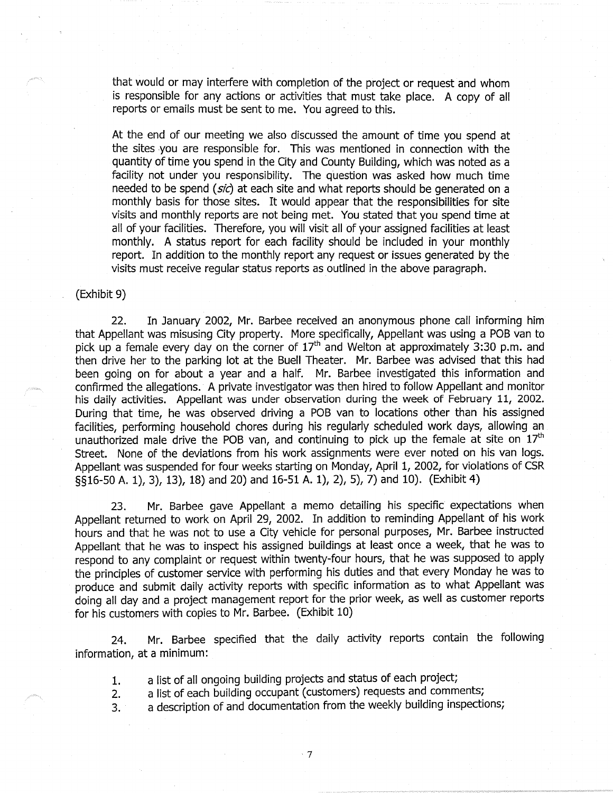that would or may interfere with completion of the project or request and whom is responsible for any actions or activities that must take place. A copy of all reports or emails must be sent to me. You agreed to this.

At the end of our meeting we also discussed the amount of time you spend at the sites you are responsible for. This was mentioned in connection with the quantity of time you spend in the City and County Building, which was noted as a facility not under you responsibility. The question was asked how much time needed to be spend (sic) at each site and what reports should be generated on a monthly basis for those sites. It would appear that the responsibilities for site visits and monthly reports are not being met. You stated that you spend time at all of your facilities. Therefore, you will visit all of your assigned facilities at least monthly. A status report for each facility should be included in your monthly report. In addition to the monthly report any request or issues generated by the visits must receive regular status reports as outlined in the above paragraph.

#### (Exhibit 9)

22. In January 2002, Mr. Barbee received an anonymous phone call informing him that Appellant was misusing City property. More specifically, Appellant was using a POB van to pick up a female every day on the corner of  $17<sup>th</sup>$  and Welton at approximately 3:30 p.m. and then drive her to the parking lot at the Buell Theater. Mr. Barbee was advised that this had been going on for about a year and a half. Mr. Barbee investigated this information and confirmed the allegations. A private investigator was then hired to follow Appellant and monitor his daily activities. Appellant was under observation during the week of February 11, 2002. During that time, he was observed driving a POB van to locations other than his assigned facilities, performing household chores during his regularly scheduled work days, allowing an unauthorized male drive the POB van, and continuing to pick up the female at site on  $17<sup>th</sup>$ Street. None of the deviations from his work assignments were ever noted on his van logs. Appellant was suspended for four weeks starting on Monday, April 1, 2002, for violations of CSR §§16-50 A. 1), 3), 13), 18) and 20) and 16-51 A. 1), 2), 5), 7) and 10). (Exhibit 4)

23. Mr. Barbee gave Appellant a memo detailing his specific expectations when Appellant returned to work on April 29, 2002. In addition to reminding Appellant of his work hours and that he was not to use a City vehicle for personal purposes, Mr. Barbee instructed Appellant that he was to inspect his assigned buildings at least once a week, that he was to respond to any complaint or request within twenty-four hours, that he was supposed to apply the principles of customer service with performing his duties and that every Monday he was to produce and submit daily activity reports with specific information as to what Appellant was doing all day and a project management report for the prior week, as well as customer reports for his customers with copies to Mr. Barbee. (Exhibit 10)

24. Mr. Barbee specified that the daily activity reports contain the following information, at a minimum:

- 1. a list of all ongoing building projects and status of each project;
- 2. a list of each building occupant (customers) requests and comments;
- 3. a description of and documentation from the weekly building inspections;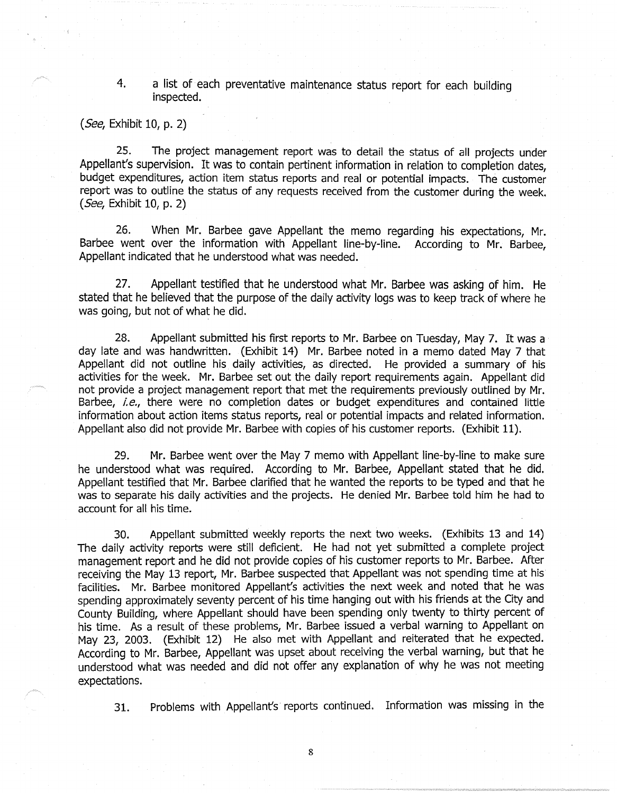# 4. a list of each preventative maintenance status report for each building inspected.

(See, Exhibit 10, p. 2)

25. The project management report was to detail the status of all projects under Appellant's supervision. It was to contain pertinent information in relation to completion dates, budget expenditures, action item status reports and real or potential impacts. The customer report was to outline the status of any requests received from the customer during the week. (See, Exhibit 10, p. 2)

26. When Mr. Barbee gave Appellant the memo regarding his expectations, Mr. Barbee went over the information with Appellant line-by-line. According to Mr. Barbee, Appellant indicated that he understood what was needed.

27. Appellant testified that he understood what Mr. Barbee was asking of him. He stated that he believed that the purpose of the daily activity logs was to keep track of where he was going, but not of what he did.

28. Appellant submitted his first reports to Mr. Barbee on Tuesday, May 7. It was a day late and was handwritten. (Exhibit 14) Mr. Barbee noted in a memo dated May 7 that Appellant did not outline his daily activities, as directed. He provided a summary of his activities for the week. Mr. Barbee set out the daily report requirements again. Appellant did not provide a project management report that met the requirements previously outlined by Mr. Barbee, *i.e.,* there were no completion dates or budget expenditures and contained little information about action items status reports, real or potential impacts and related information. Appellant also did not provide Mr. Barbee with copies of his customer reports. (Exhibit 11).

29. Mr. Barbee went over the May 7 memo with Appellant line-by-line to make sure he understood what was required. According to Mr. Barbee, Appellant stated that he did. Appellant testified that Mr. Barbee clarified that he wanted the reports to be typed and that he was to separate his daily activities and the projects. He denied Mr. Barbee told him he had to account for all his time.

30. Appellant submitted weekly reports the next two weeks. (Exhibits 13 and 14) The daily activity reports were still deficient. He had not yet submitted a complete project management report and he did not provide copies of his customer reports to Mr. Barbee. After receiving the May 13 report, Mr. Barbee suspected that Appellant was not spending time at his facilities. Mr. Barbee monitored Appellant's activities the next week and noted that he was spending approximately seventy percent of his time hanging out with his friends at the City and County Building, where Appellant should have been spending only twenty to thirty percent of his time. As a result of these problems, Mr. Barbee issued a verbal warning to Appellant on May 23, 2003. (Exhibit 12) He also met with Appellant and reiterated that he expected. According to Mr. Barbee, Appellant was upset about receiving the verbal warning, but that he understood what was needed and did not offer any explanation of why he was not meeting expectations.

31. Problems with Appellant's reports continued. Information was missing in the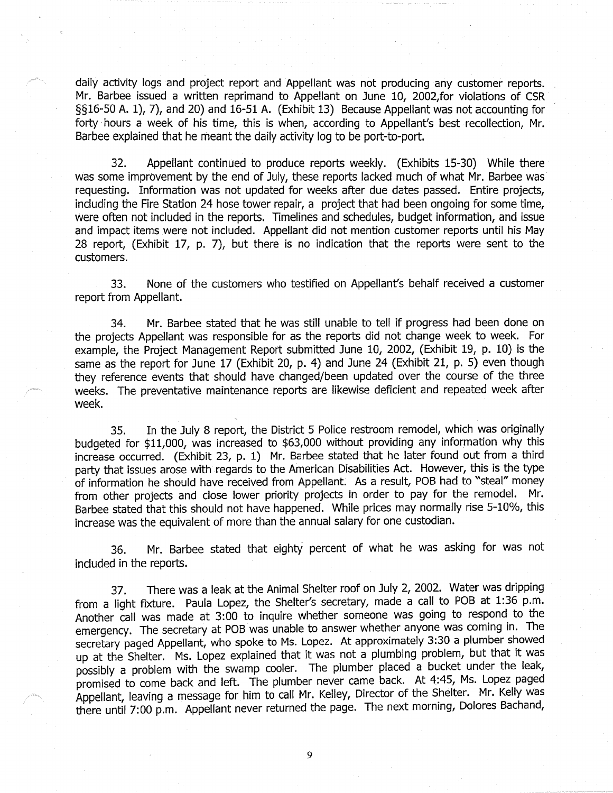daily activity logs and project report and Appellant was not producing any customer reports. Mr. Barbee issued a written reprimand to Appellant on June 10, 2002,for violations of CSR §§16-50 A. 1), 7), and 20) and 16-51 A. (Exhibit 13) Because Appellant was not accounting for forty hours a week of his time, this is when, according to Appellant's best recollection, Mr. Barbee explained that he meant the daily activity log to be port-to-port.

32. Appellant continued to produce reports weekly. (Exhibits 15-30) While there was some improvement by the end of July, these reports lacked much of what Mr. Barbee was requesting. Information was not updated for weeks after due dates passed. Entire projects, including the Fire Station 24 hose tower repair, a project that had been ongoing for some time, were often not included in the reports. Timelines and schedules, budget information, and issue and impact items were not included. Appellant did not mention customer reports until his May 28 report, (Exhibit 17, p. 7), but there is no indication that the reports were sent to the customers.

33. None of the customers who testified on Appellant's behalf received a customer report from Appellant.

34. Mr. Barbee stated that he was still unable to tell if progress had been done on the projects Appellant was responsible for as the reports did not change week to week. For example, the Project Management Report submitted June 10, 2002, (Exhibit 19, p. 10) is the same as the report for June 17 (Exhibit 20, p. 4) and June 24 (Exhibit 21, p. 5) even though they reference events that should have changed/been updated over the course of the three weeks. The preventative maintenance reports are likewise deficient and repeated week after week.

35. In the July 8 report, the District 5 Police restroom remodel, which was originally budgeted for \$11,000, was increased to \$63,000 without providing any information why this increase occurred. (Exhibit 23, p. 1) Mr. Barbee stated that he later found out from a third party that issues arose with regards to the American Disabilities Act. However, this is the type of information he should have received from Appellant. As a result, POB had to "steal" money from other projects and close lower priority projects in order to pay for the remodel. Mr. Barbee stated that this should not have happened. While prices may normally rise 5-10%, this increase was the equivalent of more than the annual salary for one custodian.

36. Mr. Barbee stated that eighty percent of what he was asking for was not included in the reports.

37. There was a leak at the Animal Shelter roof on July 2, 2002. Water was dripping from a light fixture. Paula Lopez, the Shelter's secretary, made a call to POB at 1:36 p.m. Another call was made at 3:00 to inquire whether someone was going to respond to the emergency. The secretary at POB was unable to answer whether anyone was coming in. The secretary paged Appellant, who spoke to Ms. Lopez. At approximately 3:30 a plumber showed up at the Shelter. Ms. Lopez explained that it was not a plumbing problem, but that it was possibly a problem with the swamp cooler. The plumber placed a bucket under the leak, promised to come back and left. The plumber never came back. At 4:45, Ms. Lopez paged Appellant, leaving a message for him to call Mr. Kelley, Director of the Shelter. Mr. Kelly was there until 7:00 p.m. Appellant never returned the page. The next morning, Dolores Bachand,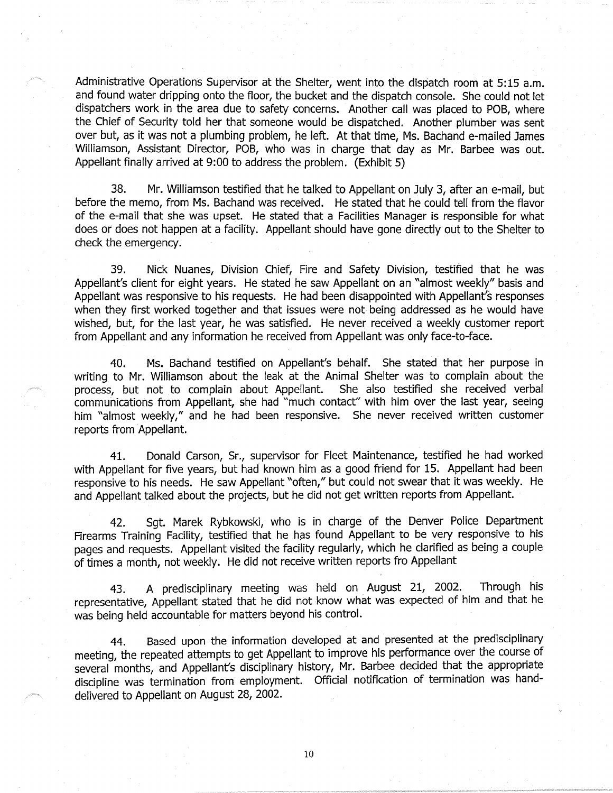Administrative Operations Supervisor at the Shelter, went into the dispatch room at 5:15 a.m. and found water dripping onto the floor, the bucket and the dispatch console. She could not let dispatchers work in the area due to safety concerns. Another call was placed to POB, where the Chief of Security told her that someone would be dispatched. Another plumber was sent over but, as it was not a plumbing problem, he left. At that time, Ms. Bachand e-mailed James Williamson, Assistant Director, POB, who was in charge that day as Mr. Barbee was out. Appellant finally arrived at 9:00 to address the problem. (Exhibit 5)

38. Mr. Williamson testified that he talked to Appellant on July 3, after an e-mail, but before the memo, from Ms. Bachand was received. He stated that he could tell from the flavor of the e-mail that she was upset. He stated that a Facilities Manager is responsible for what does or does not happen at a facility. Appellant should have gone directly out to the Shelter to check the emergency.

39. Nick Nuanes, Division Chief, Fire and Safety Division, testified that he was Appellant's client for eight years. He stated he saw Appellant on an "almost weekly" basis and Appellant was responsive to his requests. He had been disappointed with Appellant's responses when they first worked together and that issues were not being addressed as he would have wished, but, for the last year, he was satisfied. He never received a weekly customer report from Appellant and any information he received from Appellant was only face-to-face.

40. Ms. Bachand testified on Appellant's behalf. She stated that her purpose in writing to Mr. Williamson about the leak at the Animal Shelter was to complain about the process, but not to complain about Appellant. She also testified she received verbal process, but not to complain about Appellant. communications from Appellant, she had "much contact" with him over the last year, seeing him "almost weekly," and he had been responsive. She never received written customer reports from Appellant.

41. Donald Carson, Sr., supervisor for Fleet Maintenance, testified he had worked with Appellant for five years, but had known him as a good friend for 15. Appellant had been responsive to his needs. He saw Appellant "often," but could not swear that it was weekly. He and Appellant talked about the projects, but he did not get written reports from Appellant.

42. Sgt. Marek Rybkowski, who is in charge of the Denver Police Department Firearms Training Facility, testified that he has found Appellant to be very responsive to his pages and requests. Appellant visited the facility regularly, which he clarified as being a couple of times a month, not weekly. He did not receive written reports fro Appellant

43. A predisciplinary meeting was held on August 21, 2002. Through his representative, Appellant stated that he did not know what was expected of him and that he was being held accountable for matters beyond his control.

44. Based upon the information developed at and presented at the predisciplinary meeting, the repeated attempts to get Appellant to improve his performance over the course of several months, and Appellant's disciplinary history, Mr. Barbee decided that the appropriate discipline was termination from employment. Official notification of termination was handdelivered to Appellant on August 28, 2002.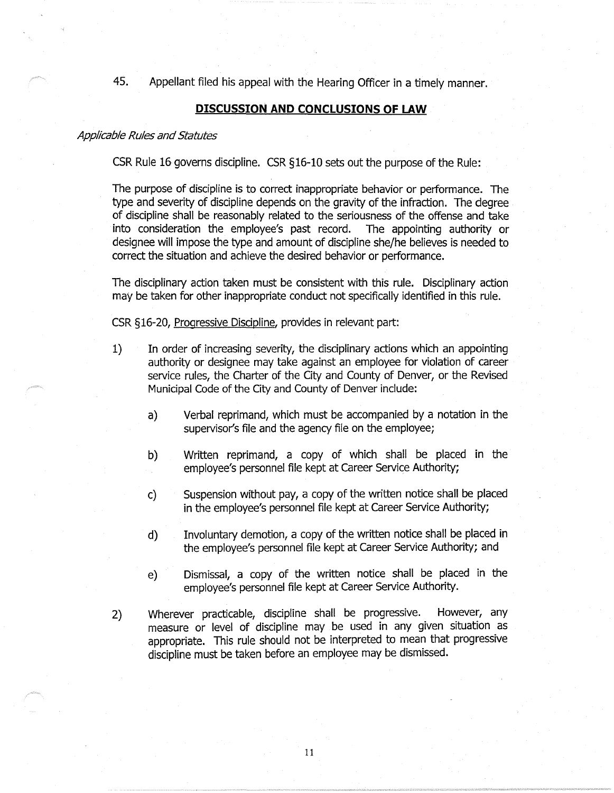45. Appellant filed his appeal with the Hearing Officer in a timely manner.

## **DISCUSSION AND CONCLUSIONS OF LAW**

#### Applicable Rules and Statutes

CSR Rule 16 governs discipline. CSR § 16-10 sets out the purpose of the Rule:

The purpose of discipline is to correct inappropriate behavior or performance. The type and severity of discipline depends on the gravity of the infraction. The degree of discipline shall be reasonably related to the seriousness of the offense and take into consideration the employee's past record. The appointing authority or designee will impose the type and amount of discipline she/he believes is needed to correct the situation and achieve the desired behavior or performance.

The disciplinary action taken must be consistent with this rule. Disciplinary action may be taken for other inappropriate conduct not specifically identified in this rule.

CSR §16-20, Progressive Discipline, provides in relevant part:

- 1) In order of increasing severity, the disciplinary actions which an appointing authority or designee may take against an employee for violation of career service rules, the Charter of the City and County of Denver, or the Revised Municipal Code of the City and County of Denver include:
	- a) Verbal reprimand, which must be accompanied by a notation in the supervisor's file and the agency file on the employee;
	- b) Written reprimand, a copy of which shall be placed in the employee's personnel file kept at Career Service Authority;
	- c) Suspension without pay, a copy of the written notice shall be placed in the employee's personnel file kept at Career Service Authority;
	- d) Involuntary demotion, a copy of the written notice shall be placed in the employee's personnel file kept at Career Service Authority; and
	- e) Dismissal, a copy of the written notice shall be placed in the employee's personnel file kept at Career Service Authority.
- 2) Wherever practicable, discipline shall be progressive. However, any measure or level of discipline may be used in any given situation as appropriate. This rule should not be interpreted to mean that progressive discipline must be taken before an employee may be dismissed.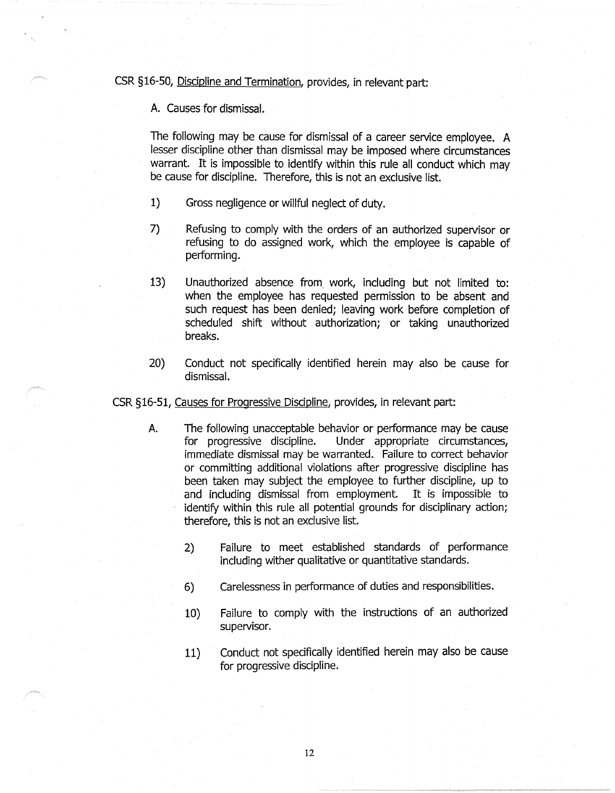CSR §16-50, Discipline and Termination, provides, in relevant part:

A. Causes for dismissal.

The following may be cause for dismissal of a career service employee. A lesser discipline other than dismissal may be imposed where circumstances warrant. It is impossible to identify within this rule all conduct which may be cause for discipline. Therefore, this is not an exclusive list.

- 1) Gross negligence or willful neglect of duty.
- 7) Refusing to comply with the orders of an authorized supervisor or refusing to do assigned work, which the employee is capable of performing.
- 13) Unauthorized absence from\_ work, including but not limited to: when the employee has requested permission to be absent and such request has been denied; leaving work before completion of scheduled shift without authorization; or taking unauthorized breaks.
- 20) Conduct not specifically identified herein may also be cause for dismissal.

CSR §16-51, Causes for Progressive Discipline, provides, in relevant part:

- A. The following unacceptable behavior or performance may be cause for progressive discipline. Under appropriate circumstances, immediate dismissal may be warranted. Failure to correct behavior or committing additional violations after progressive discipline has been taken may subject the employee to further discipline, up to and including dismissal from employment. It is impossible to identify within this rule all potential grounds for disciplinary action; therefore, this is not an exclusive list.
	- 2) Failure to meet established standards of performance including wither qualitative or quantitative standards.
	- 6) Carelessness in performance of duties and responsibilities.
	- 10) Failure to comply with the instructions of an authorized supervisor.
	- 11) Conduct not specifically identified herein may also be cause for progressive discipline.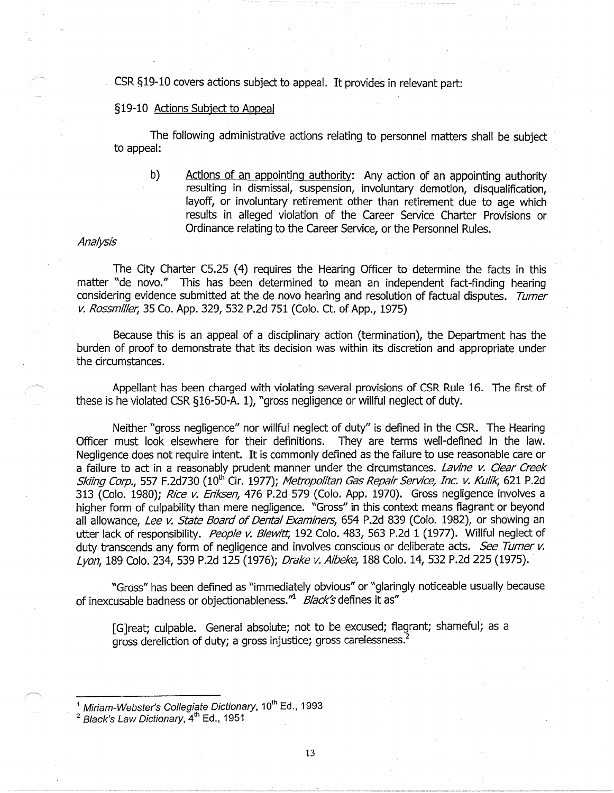CSR §19-10 covers actions subject to appeal. It provides in relevant part:

### §19-10 Actions Subject to Appeal

The following administrative actions relating to personnel matters shall be subject to appeal:

b) Actions of an appointing authority: Any action of an appointing authority resulting in dismissal, suspension, involuntary demotion, disqualification, layoff, or involuntary retirement other than retirement due to age which results in alleged violation of the Career Service Charter Provisions or Ordinance relating to the Career Service, or the Personnel Rules.

#### Analysis

The City Charter C5.25 (4) requires the Hearing Officer to determine the facts in this matter "de novo." This has been determined to mean an independent fact-finding hearing considering evidence submitted at the de novo hearing and resolution of factual disputes. Turner *v.* Rossmiller, 35 Co. App. 329, 532 P.2d 751 (Colo. Ct. of App., 1975)

Because this is an appeal of a disciplinary action (termination), the Department has the burden of proof to demonstrate that its decision was within its discretion and appropriate under the circumstances.

Appellant has been charged with violating several provisions of CSR Rule 16. The first of these is he violated CSR §16-50-A. 1), "gross negligence or willful neglect of duty.

Neither "gross negligence" nor willful neglect of duty" is defined in the CSR. The Hearing Officer must look elsewhere for their definitions. They are terms well-defined in the law. Negligence does not require intent. It is commonly defined as the failure to use reasonable care or a failure to act in a reasonably prudent manner under the circumstances. Lavine *v.* Clear Creek Skiing Corp., 557 F.2d730 (10<sup>th</sup> Cir. 1977); Metropolitan Gas Repair Service, Inc. v. Kulik, 621 P.2d 313 (Colo. 1980); Rice v. Eriksen, 476 P.2d 579 (Colo. App. 1970). Gross negligence involves a higher form of culpability than mere negligence. "Gross*<sup>1</sup> '* in this context means flagrant or beyond all allowance, Lee *v.* State Board of Dental Examiners, 654 P.2d 839 (Colo. 1982), or showing an utter lack of responsibility. People v. Blewitt, 192 Colo. 483, 563 P.2d 1 (1977). Willful neglect of duty transcends any form of negligence and involves conscious or deliberate acts. See Turner v. Lyon, 189 Colo. 234, 539 P.2d 125 (1976); Drake *v.* Albeke, 188 Colo. 14, 532 P.2d 225 (1975).

"Gross" has been defined as "immediately obvious" or "glaringly noticeable usually because of inexcusable badness or objectionableness." $\frac{Black}{S}$  defines it as"

[G]reat; culpable. General absolute; not to be excused; flagrant; shameful; as a gross dereliction of duty; a gross injustice; gross carelessness.<sup>2</sup>

 $\frac{1}{2}$  Miriam-Webster's Collegiate Dictionary, 10<sup>th</sup> Ed., 1993

 $<sup>2</sup>$  Black's Law Dictionary,  $4<sup>th</sup>$  Ed., 1951</sup>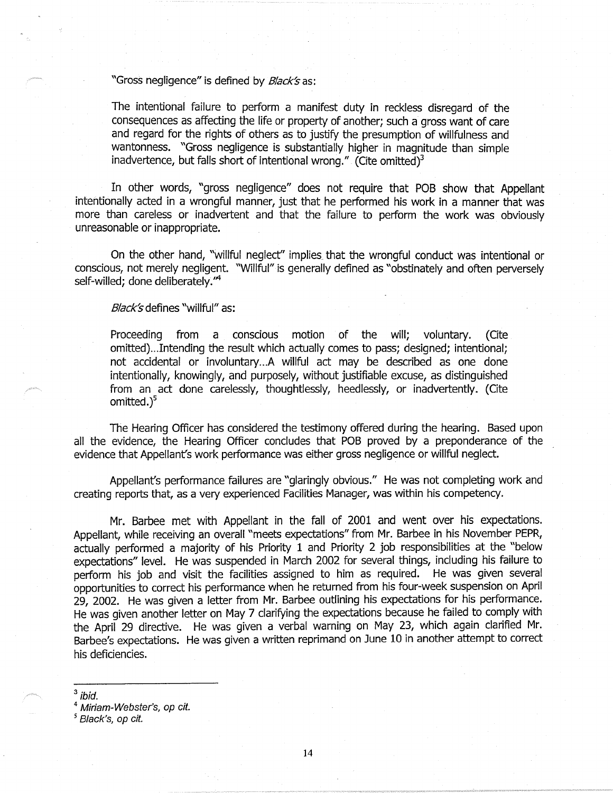# "Gross negligence" is defined by *Black's* as:

The intentional failure to perform a manifest duty in reckless disregard of the consequences as affecting the life or property of another; such a gross want of care and regard for the rights of others as to justify the presumption of willfulness and wantonness. "Gross negligence is substantially higher in magnitude than simple inadvertence, but falls short of intentional wrong." (Cite omitted) $3$ 

In other words, "gross negligence" does not require that POB show that Appellant intentionally acted in a wrongful manner, just that he performed his work in a manner that was more than careless or inadvertent and that the failure to perform the work was obviously unreasonable or inappropriate.

On the other hand, "willful neglect'' implies that the wrongful conduct was intentional or conscious, not merely negligent. "Willful" is generally defined as "obstinately and often perversely self-willed; done deliberately."<sup>4</sup>

*Black's* defines "willful" as:

Proceeding from a conscious motion of the will; voluntary. (Cite omitted)...Intending the result which actually comes to pass; designed; intentional; not accidental or involuntary...A willful act may be described as one done intentionally, knowingly, and purposely, without justifiable excuse, as distinguished from an act done carelessly, thoughtlessly, heedlessly, or inadvertently. (Cite omitted.)<sup>5</sup>

The Hearing Officer has considered the testimony offered during the hearing. Based upon all the evidence, the Hearing Officer concludes that POB proved by a preponderance of the evidence that Appellant's work performance was either gross negligence or willful neglect.

Appellant's performance failures are "glaringly obvious." He was not completing work and creating reports that, as a very experienced Facilities Manager, was within his competency.

Mr. Barbee met with Appellant in the fall of 2001 and went over his expectations. Appellant, while receiving an overall "meets expectations" from Mr. Barbee in his November PEPR, actually performed a majority of his Priority 1 and Priority 2 job responsibilities at the "below expectations" level. He was suspended in March 2002 for several things, including his failure to perform his job and visit the facilities assigned to him as required. He was given several opportunities to correct his performance when he returned from his four-week suspension on April 29, 2002. He was given a letter from Mr. Barbee outlining his expectations for his performance. He was given another letter on May 7 clarifying the expectations because he failed to comply with the April 29 directive. He was given a verbal warning on May 23, which again clarified Mr. Barbee's expectations. He was given a written reprimand on June 10 in another attempt to correct his deficiencies.

 $^3$  ibid.<br> $^4$  Miriam-Webster's, op cit. *<sup>5</sup>*Black's, op cit.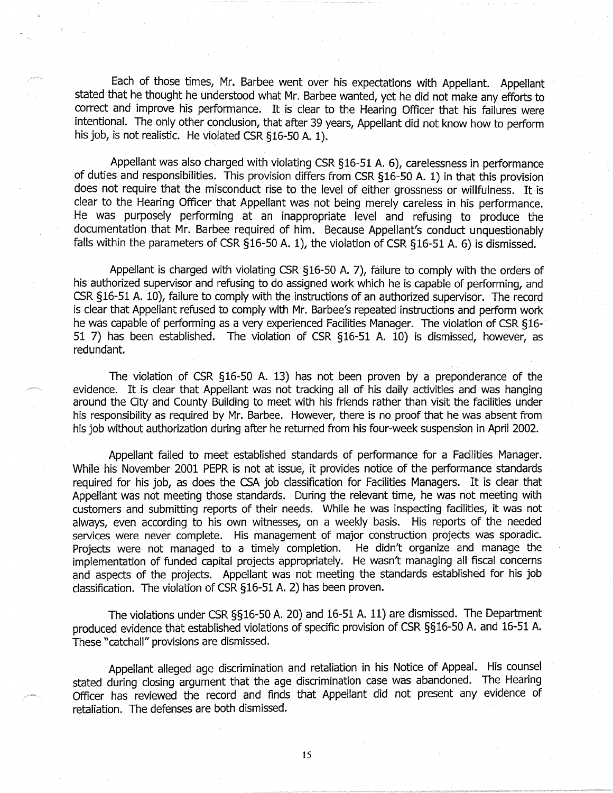Each of those times, Mr. Barbee went over his expectations with Appellant. Appellant stated that he thought he understood what Mr. Barbee wanted, yet he did not make any efforts to correct and improve his performance. It is clear to the Hearing Officer that his failures were intentional. The only other conclusion, that after 39 years, Appellant did not know how to perform his job, is not realistic. He violated CSR §16-50 A. 1).

Appellant was also charged with violating CSR §16-51 A. 6), carelessness in performance of duties and responsibilities. This provision differs from CSR §16-50 A. 1) in that this provision does not require that the misconduct rise to the level of either grossness or willfulness. It is clear to the Hearing Officer that Appellant was not being merely careless in his performance. He was purposely performing at an inappropriate level and refusing to produce the documentation that Mr. Barbee required of him. Because Appellant's conduct unquestionably falls within the parameters of CSR §16-50 A. 1), the violation of CSR §16-51 A. 6) is dismissed.

Appellant is charged with violating CSR §16-50 A. 7), failure to comply with the orders of his authorized supervisor and refusing to do assigned work which he is capable of performing, and CSR §16-51 A. 10), failure to comply with the instructions of an authorized supervisor. The record is clear that Appellant refused to comply with Mr. Barbee's repeated instructions and perform work he was capable of performing as a very experienced Facilities Manager. The violation of CSR §16-51 7) has been established. The violation of CSR §16-51 A. 10) is dismissed, however, as redundant.

The violation of CSR §16-50 A. 13) has not been proven by a preponderance of the evidence. It is clear that Appellant was not tracking all of his daily activities and was hanging around the City and County Building to meet with his friends rather than visit the facilities under his responsibility as required by Mr. Barbee. However, there is no proof that he was absent from his job without authorization during after he returned from his four-week suspension in April 2002.

Appellant failed to meet established standards of performance for a Facilities Manager. While his November 2001 PEPR is not at issue, it provides notice of the performance standards required for his job, as does the CSA job classification for Facilities Managers. It is clear that Appellant was not meeting those standards. During the relevant time, he was not meeting with customers and submitting reports of their needs. While he was inspecting facilities, it was not always, even according to his own witnesses, on a weekly basis. His reports of the needed services were never complete. His management of major construction projects was sporadic. Projects were not managed to a timely completion. He didn't organize and manage the implementation of funded capital projects appropriately. He wasn't managing all fiscal concerns and aspects of the projects. Appellant was not meeting the standards established for his job classification. The violation of CSR §16-51 A. 2) has been proven.

The violations under CSR §§16-50 A. 20) and 16-51 A. 11) are dismissed. The Department produced evidence that established violations of specific provision of CSR §§16-50 A. and 16-51 A. These "catchall" provisions are dismissed.

Appellant alleged age discrimination and retaliation in his Notice of Appeal. His counsel stated during closing argument that the age discrimination case was abandoned. The Hearing Officer has reviewed the record and finds that Appellant did not present any evidence of retaliation. The defenses are both dismissed.